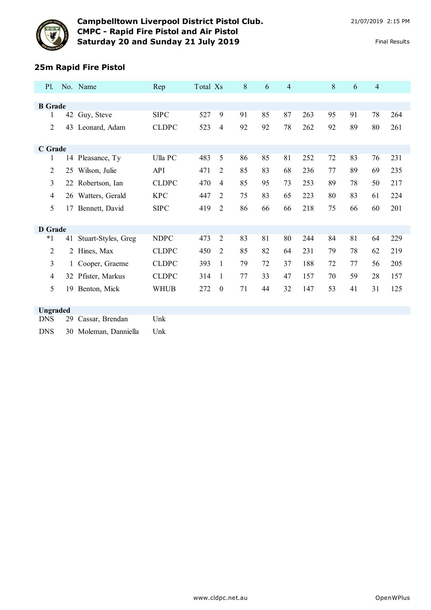



# **Campbelltown Liverpool District Pistol Club.** 21/07/2019 2:15 PM **CMPC - Rapid Fire Pistol and Air Pistol Saturday 20 and Sunday 21 July 2019** Final Results Final Results

### **25m Rapid Fire Pistol**

| <b>P1.</b>     |              | No. Name              | Rep          | Total Xs |                  | 8  | 6  | $\overline{4}$ |     | 8  | 6  | $\overline{4}$ |     |
|----------------|--------------|-----------------------|--------------|----------|------------------|----|----|----------------|-----|----|----|----------------|-----|
|                |              |                       |              |          |                  |    |    |                |     |    |    |                |     |
| <b>B</b> Grade |              |                       |              |          |                  |    |    |                |     |    |    |                |     |
| 1              |              | 42 Guy, Steve         | <b>SIPC</b>  | 527      | 9                | 91 | 85 | 87             | 263 | 95 | 91 | 78             | 264 |
| $\overline{c}$ | 43           | Leonard, Adam         | <b>CLDPC</b> | 523      | 4                | 92 | 92 | 78             | 262 | 92 | 89 | 80             | 261 |
|                |              |                       |              |          |                  |    |    |                |     |    |    |                |     |
| C Grade        |              |                       |              |          |                  |    |    |                |     |    |    |                |     |
| 1              |              | 14 Pleasance, Ty      | Ulla PC      | 483      | 5                | 86 | 85 | 81             | 252 | 72 | 83 | 76             | 231 |
| 2              | 25           | Wilson, Julie         | <b>API</b>   | 471      | $\overline{2}$   | 85 | 83 | 68             | 236 | 77 | 89 | 69             | 235 |
| 3              |              | 22 Robertson, Ian     | <b>CLDPC</b> | 470      | 4                | 85 | 95 | 73             | 253 | 89 | 78 | 50             | 217 |
| 4              |              | 26 Watters, Gerald    | <b>KPC</b>   | 447      | $\overline{2}$   | 75 | 83 | 65             | 223 | 80 | 83 | 61             | 224 |
| 5              | 17           | Bennett, David        | <b>SIPC</b>  | 419      | 2                | 86 | 66 | 66             | 218 | 75 | 66 | 60             | 201 |
|                |              |                       |              |          |                  |    |    |                |     |    |    |                |     |
| <b>D</b> Grade |              |                       |              |          |                  |    |    |                |     |    |    |                |     |
| $*1$           | 41           | Stuart-Styles, Greg   | <b>NDPC</b>  | 473      | $\overline{2}$   | 83 | 81 | 80             | 244 | 84 | 81 | 64             | 229 |
| $\overline{2}$ |              | 2 Hines, Max          | <b>CLDPC</b> | 450      | $\overline{2}$   | 85 | 82 | 64             | 231 | 79 | 78 | 62             | 219 |
| 3              | $\mathbf{1}$ | Cooper, Graeme        | <b>CLDPC</b> | 393      | 1                | 79 | 72 | 37             | 188 | 72 | 77 | 56             | 205 |
| 4              |              | 32 Pfister, Markus    | <b>CLDPC</b> | 314      | 1                | 77 | 33 | 47             | 157 | 70 | 59 | 28             | 157 |
| 5              | 19           | Benton, Mick          | <b>WHUB</b>  | 272      | $\boldsymbol{0}$ | 71 | 44 | 32             | 147 | 53 | 41 | 31             | 125 |
|                |              |                       |              |          |                  |    |    |                |     |    |    |                |     |
| Ungraded       |              |                       |              |          |                  |    |    |                |     |    |    |                |     |
| <b>DNS</b>     | 29           | Cassar, Brendan       | Unk          |          |                  |    |    |                |     |    |    |                |     |
| <b>DNS</b>     |              | 30 Moleman, Danniella | Unk          |          |                  |    |    |                |     |    |    |                |     |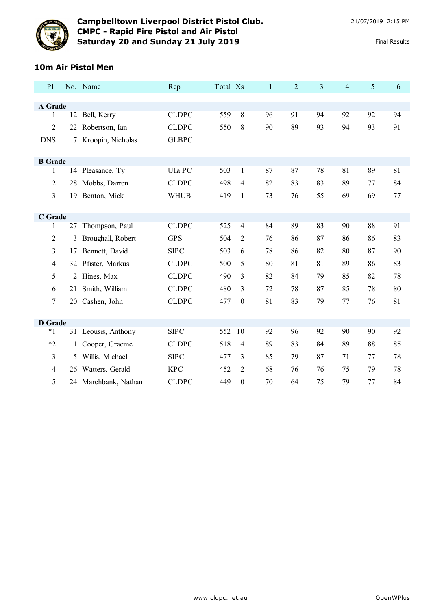

# **Campbelltown Liverpool District Pistol Club.** 21/07/2019 2:15 PM **CMPC - Rapid Fire Pistol and Air Pistol Saturday 20 and Sunday 21 July 2019** Final Results Final Results

#### **10m Air Pistol Men**

| <b>P1.</b>     |    | No. Name            | Rep          | Total Xs |                  | $\mathbf{1}$ | $\overline{2}$ | 3  | $\overline{4}$ | 5  | 6       |
|----------------|----|---------------------|--------------|----------|------------------|--------------|----------------|----|----------------|----|---------|
|                |    |                     |              |          |                  |              |                |    |                |    |         |
| A Grade        |    |                     |              |          |                  |              |                |    |                |    |         |
| 1              |    | 12 Bell, Kerry      | <b>CLDPC</b> | 559      | 8                | 96           | 91             | 94 | 92             | 92 | 94      |
| 2              | 22 | Robertson, Ian      | <b>CLDPC</b> | 550      | 8                | 90           | 89             | 93 | 94             | 93 | 91      |
| <b>DNS</b>     |    | Kroopin, Nicholas   | <b>GLBPC</b> |          |                  |              |                |    |                |    |         |
|                |    |                     |              |          |                  |              |                |    |                |    |         |
| <b>B</b> Grade |    |                     |              |          |                  |              |                |    |                |    |         |
| 1              |    | 14 Pleasance, Ty    | Ulla PC      | 503      | $\mathbf{1}$     | 87           | 87             | 78 | 81             | 89 | 81      |
| $\overline{2}$ | 28 | Mobbs, Darren       | <b>CLDPC</b> | 498      | 4                | 82           | 83             | 83 | 89             | 77 | 84      |
| 3              | 19 | Benton, Mick        | <b>WHUB</b>  | 419      | 1                | 73           | 76             | 55 | 69             | 69 | $77 \,$ |
|                |    |                     |              |          |                  |              |                |    |                |    |         |
| C Grade        |    |                     |              |          |                  |              |                |    |                |    |         |
| 1              | 27 | Thompson, Paul      | <b>CLDPC</b> | 525      | $\overline{4}$   | 84           | 89             | 83 | 90             | 88 | 91      |
| $\overline{c}$ | 3  | Broughall, Robert   | <b>GPS</b>   | 504      | $\overline{2}$   | 76           | 86             | 87 | 86             | 86 | 83      |
| 3              | 17 | Bennett, David      | <b>SIPC</b>  | 503      | 6                | 78           | 86             | 82 | 80             | 87 | 90      |
| $\overline{4}$ |    | 32 Pfister, Markus  | <b>CLDPC</b> | 500      | 5                | 80           | 81             | 81 | 89             | 86 | 83      |
| 5              | 2  | Hines, Max          | <b>CLDPC</b> | 490      | 3                | 82           | 84             | 79 | 85             | 82 | 78      |
| 6              | 21 | Smith, William      | <b>CLDPC</b> | 480      | 3                | 72           | 78             | 87 | 85             | 78 | 80      |
| $\overline{7}$ | 20 | Cashen, John        | <b>CLDPC</b> | 477      | $\boldsymbol{0}$ | 81           | 83             | 79 | 77             | 76 | 81      |
|                |    |                     |              |          |                  |              |                |    |                |    |         |
| <b>D</b> Grade |    |                     |              |          |                  |              |                |    |                |    |         |
| $*1$           |    | 31 Leousis, Anthony | <b>SIPC</b>  | 552      | 10               | 92           | 96             | 92 | 90             | 90 | 92      |
| $*2$           | 1  | Cooper, Graeme      | <b>CLDPC</b> | 518      | 4                | 89           | 83             | 84 | 89             | 88 | 85      |
| 3              | 5  | Willis, Michael     | <b>SIPC</b>  | 477      | 3                | 85           | 79             | 87 | 71             | 77 | 78      |
| $\overline{4}$ | 26 | Watters, Gerald     | <b>KPC</b>   | 452      | $\overline{2}$   | 68           | 76             | 76 | 75             | 79 | 78      |
| 5              | 24 | Marchbank, Nathan   | <b>CLDPC</b> | 449      | $\theta$         | 70           | 64             | 75 | 79             | 77 | 84      |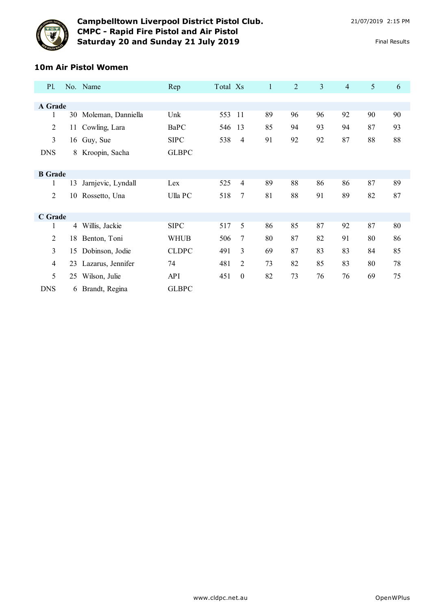

# **10m Air Pistol Women**

| <b>Pl.</b>     |    | No. Name              | Rep          | Total Xs |                  | $\mathbf{1}$ | 2  | $\overline{3}$ | $\overline{4}$ | 5  | 6  |
|----------------|----|-----------------------|--------------|----------|------------------|--------------|----|----------------|----------------|----|----|
|                |    |                       |              |          |                  |              |    |                |                |    |    |
| A Grade        |    |                       |              |          |                  |              |    |                |                |    |    |
| 1              |    | 30 Moleman, Danniella | Unk          | 553      | -11              | 89           | 96 | 96             | 92             | 90 | 90 |
| $\overline{2}$ | 11 | Cowling, Lara         | <b>BaPC</b>  | 546      | 13               | 85           | 94 | 93             | 94             | 87 | 93 |
| $\overline{3}$ |    | 16 Guy, Sue           | <b>SIPC</b>  | 538      | $\overline{4}$   | 91           | 92 | 92             | 87             | 88 | 88 |
| <b>DNS</b>     | 8  | Kroopin, Sacha        | <b>GLBPC</b> |          |                  |              |    |                |                |    |    |
|                |    |                       |              |          |                  |              |    |                |                |    |    |
| <b>B</b> Grade |    |                       |              |          |                  |              |    |                |                |    |    |
| 1              | 13 | Jarnjevic, Lyndall    | Lex          | 525      | $\overline{4}$   | 89           | 88 | 86             | 86             | 87 | 89 |
| $\overline{2}$ | 10 | Rossetto, Una         | Ulla PC      | 518      | 7                | 81           | 88 | 91             | 89             | 82 | 87 |
|                |    |                       |              |          |                  |              |    |                |                |    |    |
| C Grade        |    |                       |              |          |                  |              |    |                |                |    |    |
| 1              | 4  | Willis, Jackie        | <b>SIPC</b>  | 517      | 5                | 86           | 85 | 87             | 92             | 87 | 80 |
| $\overline{2}$ | 18 | Benton, Toni          | <b>WHUB</b>  | 506      | 7                | 80           | 87 | 82             | 91             | 80 | 86 |
| $\overline{3}$ | 15 | Dobinson, Jodie       | <b>CLDPC</b> | 491      | 3                | 69           | 87 | 83             | 83             | 84 | 85 |
| $\overline{4}$ | 23 | Lazarus, Jennifer     | 74           | 481      | 2                | 73           | 82 | 85             | 83             | 80 | 78 |
| 5              | 25 | Wilson, Julie         | API          | 451      | $\boldsymbol{0}$ | 82           | 73 | 76             | 76             | 69 | 75 |
| <b>DNS</b>     | 6  | Brandt, Regina        | <b>GLBPC</b> |          |                  |              |    |                |                |    |    |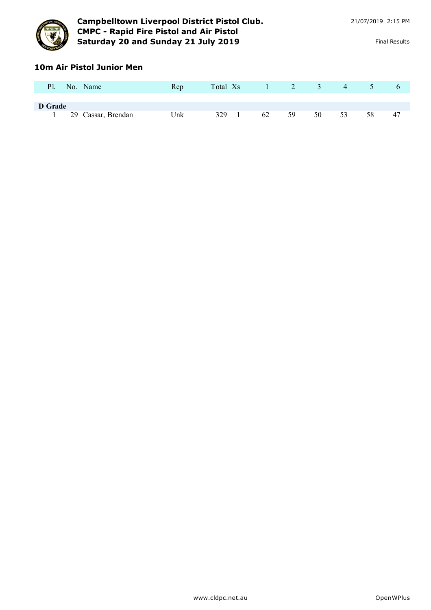

# **10m Air Pistol Junior Men**

| P1.     | No. Name           | Rep | Total Xs |  |    |    | $1 \qquad 2 \qquad 3$ | $\overline{4}$ | $\sqrt{5}$ | $\sigma$ |
|---------|--------------------|-----|----------|--|----|----|-----------------------|----------------|------------|----------|
| D Grade |                    |     |          |  |    |    |                       |                |            |          |
|         | 29 Cassar, Brendan | Unk | 329      |  | 62 | 59 | 50                    | 53             | 58         | 47       |